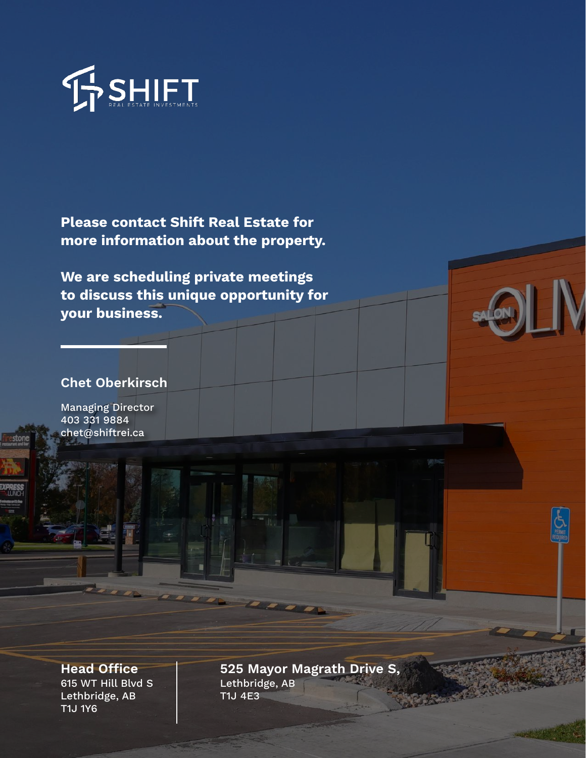

Please contact Shift Real Estate for more information about the property.

We are scheduling private meetings to discuss this unique opportunity for your business.

#### Chet Oberkirsch

Managing Director 403 331 9884 chet@shiftrei.ca

**Head Office** 615 WT Hill Blvd S Lethbridge, AB T1J 1Y6

525 Mayor Magrath Drive S, Lethbridge, AB T1J 4E3

**SANCAR**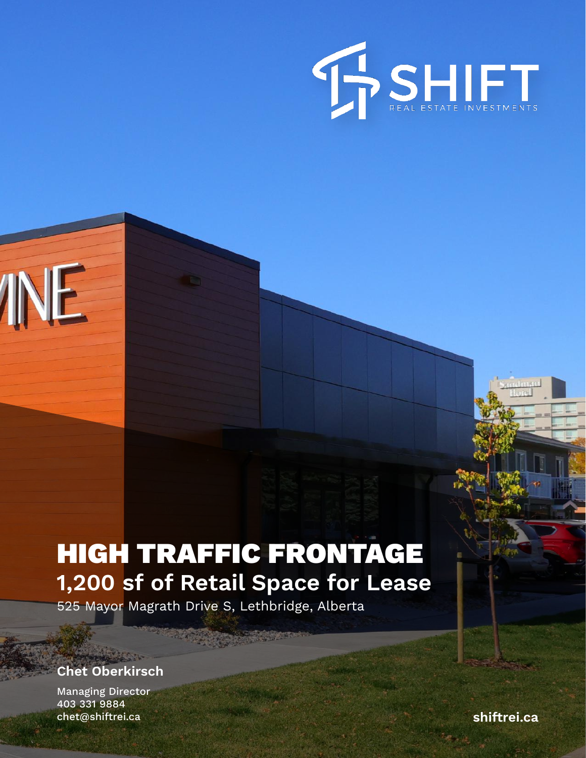

# HIGH TRAFFIC FRONTAGE 1,200 sf of Retail Space for Lease

525 Mayor Magrath Drive S, Lethbridge, Alberta

#### Chet Oberkirsch

INE

Managing Director 403 331 9884 chet@shiftrei.ca shiftrei.ca shiftrei.ca shiftrei.ca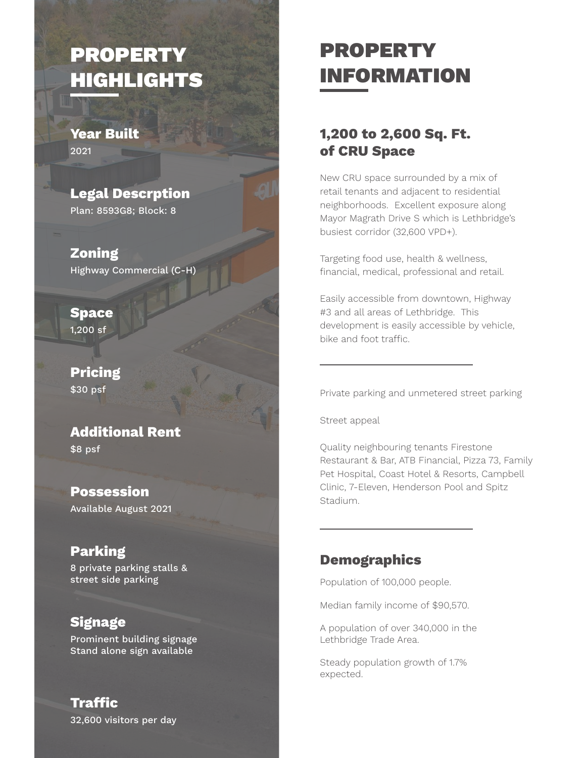## PROPERTY HIGHLIGHTS

Year Built 2021

Legal Descrption Plan: 8593G8; Block: 8

Zoning Highway Commercial (C-H)

Space  $1,200$  sf

Pricing \$30 psf

Additional Rent

\$8 psf

Possession Available August 2021

#### Parking

8 private parking stalls & street side parking

#### **Signage**

Prominent building signage Stand alone sign available

## PROPERTY INFORMATION

#### 1,200 to 2,600 Sq. Ft. of CRU Space

New CRU space surrounded by a mix of retail tenants and adjacent to residential neighborhoods. Excellent exposure along Mayor Magrath Drive S which is Lethbridge's busiest corridor (32,600 VPD+).

Targeting food use, health & wellness, financial, medical, professional and retail.

Easily accessible from downtown, Highway #3 and all areas of Lethbridge. This development is easily accessible by vehicle, bike and foot traffic.

Private parking and unmetered street parking

Street appeal

Quality neighbouring tenants Firestone Restaurant & Bar, ATB Financial, Pizza 73, Family Pet Hospital, Coast Hotel & Resorts, Campbell Clinic, 7-Eleven, Henderson Pool and Spitz Stadium.

#### **Demographics**

Population of 100,000 people.

Median family income of \$90,570.

A population of over 340,000 in the Lethbridge Trade Area.

Steady population growth of 1.7% expected.

32,600 visitors per day **Traffic**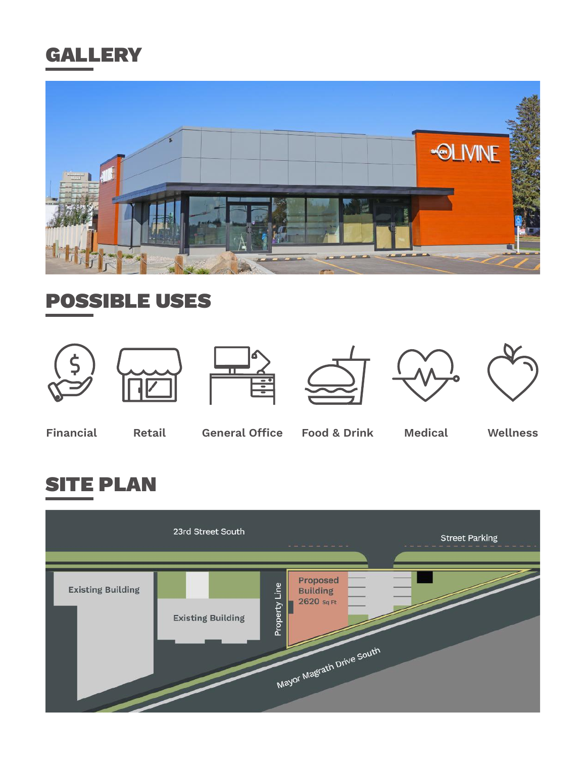## **GALLERY**



## POSSIBLE USES













Financial Retail General Office Food & Drink Medical Wellness

## SITE PLAN

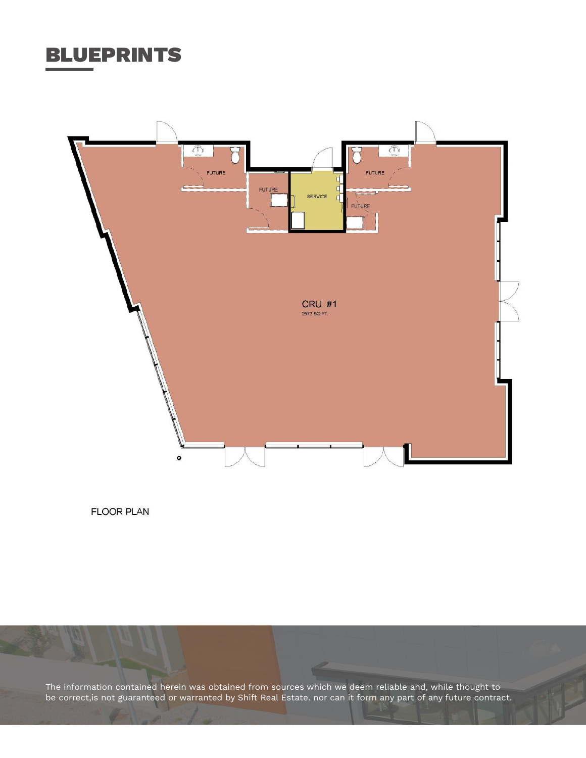### BLUEPRINTS



**FLOOR PLAN** 

The information contained herein was obtained from sources which we deem reliable and, while thought to be correct,is not guaranteed or warranted by Shift Real Estate. nor can it form any part of any future contract.